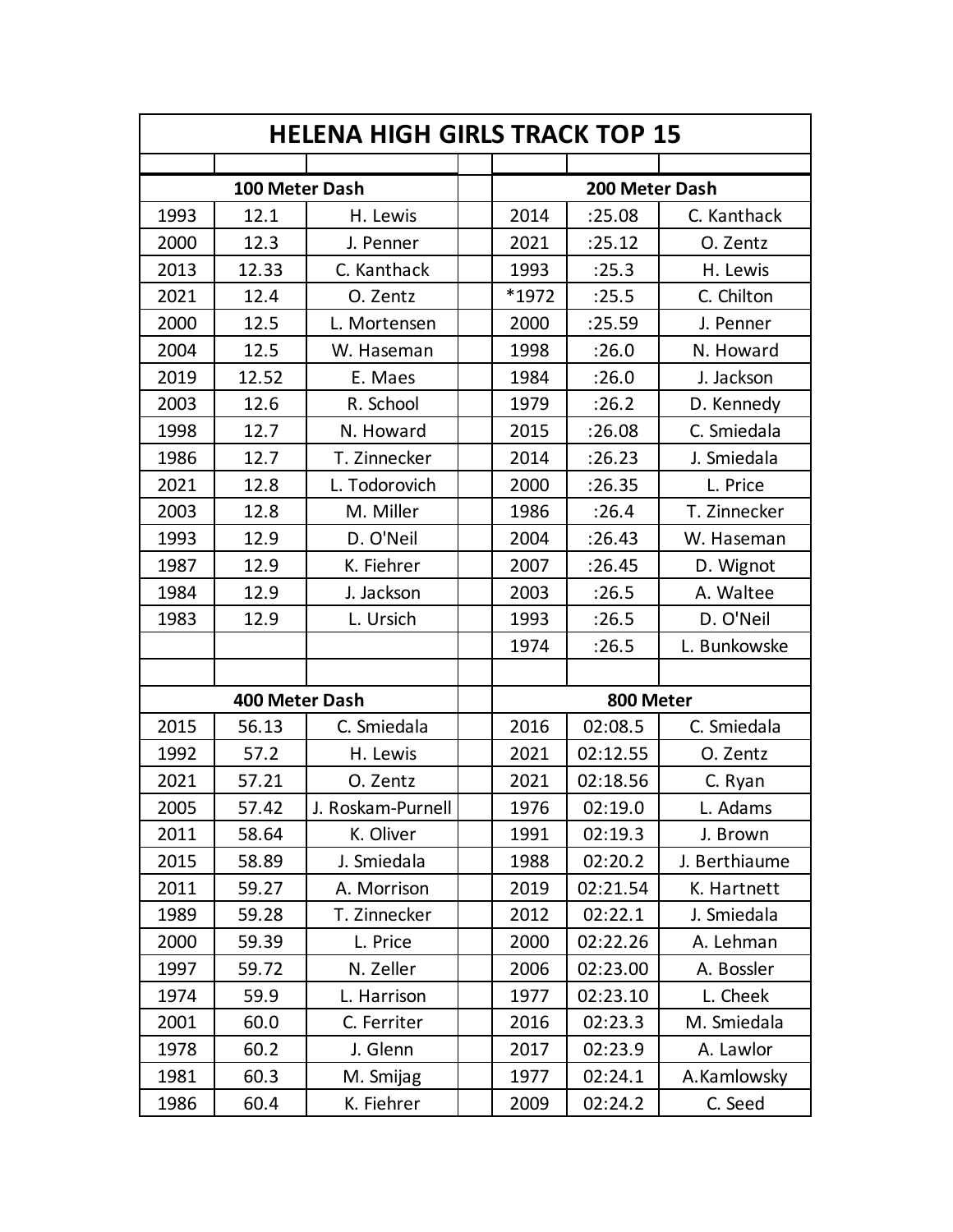| <b>HELENA HIGH GIRLS TRACK TOP 15</b> |                |                   |  |                |          |               |  |
|---------------------------------------|----------------|-------------------|--|----------------|----------|---------------|--|
|                                       |                |                   |  |                |          |               |  |
| 100 Meter Dash                        |                |                   |  | 200 Meter Dash |          |               |  |
| 1993                                  | 12.1           | H. Lewis          |  | 2014           | :25.08   | C. Kanthack   |  |
| 2000                                  | 12.3           | J. Penner         |  | 2021           | :25.12   | O. Zentz      |  |
| 2013                                  | 12.33          | C. Kanthack       |  | 1993           | :25.3    | H. Lewis      |  |
| 2021                                  | 12.4           | O. Zentz          |  | *1972          | :25.5    | C. Chilton    |  |
| 2000                                  | 12.5           | L. Mortensen      |  | 2000           | :25.59   | J. Penner     |  |
| 2004                                  | 12.5           | W. Haseman        |  | 1998           | :26.0    | N. Howard     |  |
| 2019                                  | 12.52          | E. Maes           |  | 1984           | :26.0    | J. Jackson    |  |
| 2003                                  | 12.6           | R. School         |  | 1979           | :26.2    | D. Kennedy    |  |
| 1998                                  | 12.7           | N. Howard         |  | 2015           | :26.08   | C. Smiedala   |  |
| 1986                                  | 12.7           | T. Zinnecker      |  | 2014           | :26.23   | J. Smiedala   |  |
| 2021                                  | 12.8           | L. Todorovich     |  | 2000           | :26.35   | L. Price      |  |
| 2003                                  | 12.8           | M. Miller         |  | 1986           | :26.4    | T. Zinnecker  |  |
| 1993                                  | 12.9           | D. O'Neil         |  | 2004           | :26.43   | W. Haseman    |  |
| 1987                                  | 12.9           | K. Fiehrer        |  | 2007           | :26.45   | D. Wignot     |  |
| 1984                                  | 12.9           | J. Jackson        |  | 2003           | :26.5    | A. Waltee     |  |
| 1983                                  | 12.9           | L. Ursich         |  | 1993           | :26.5    | D. O'Neil     |  |
|                                       |                |                   |  | 1974           | :26.5    | L. Bunkowske  |  |
|                                       |                |                   |  |                |          |               |  |
|                                       | 400 Meter Dash |                   |  | 800 Meter      |          |               |  |
| 2015                                  | 56.13          | C. Smiedala       |  | 2016           | 02:08.5  | C. Smiedala   |  |
| 1992                                  | 57.2           | H. Lewis          |  | 2021           | 02:12.55 | O. Zentz      |  |
| 2021                                  | 57.21          | O. Zentz          |  | 2021           | 02:18.56 | C. Ryan       |  |
| 2005                                  | 57.42          | J. Roskam-Purnell |  | 1976           | 02:19.0  | L. Adams      |  |
| 2011                                  | 58.64          | K. Oliver         |  | 1991           | 02:19.3  | J. Brown      |  |
| 2015                                  | 58.89          | J. Smiedala       |  | 1988           | 02:20.2  | J. Berthiaume |  |
| 2011                                  | 59.27          | A. Morrison       |  | 2019           | 02:21.54 | K. Hartnett   |  |
| 1989                                  | 59.28          | T. Zinnecker      |  | 2012           | 02:22.1  | J. Smiedala   |  |
| 2000                                  | 59.39          | L. Price          |  | 2000           | 02:22.26 | A. Lehman     |  |
| 1997                                  | 59.72          | N. Zeller         |  | 2006           | 02:23.00 | A. Bossler    |  |
| 1974                                  | 59.9           | L. Harrison       |  | 1977           | 02:23.10 | L. Cheek      |  |
| 2001                                  | 60.0           | C. Ferriter       |  | 2016           | 02:23.3  | M. Smiedala   |  |
| 1978                                  | 60.2           | J. Glenn          |  | 2017           | 02:23.9  | A. Lawlor     |  |
| 1981                                  | 60.3           | M. Smijag         |  | 1977           | 02:24.1  | A.Kamlowsky   |  |
| 1986                                  | 60.4           | K. Fiehrer        |  | 2009           | 02:24.2  | C. Seed       |  |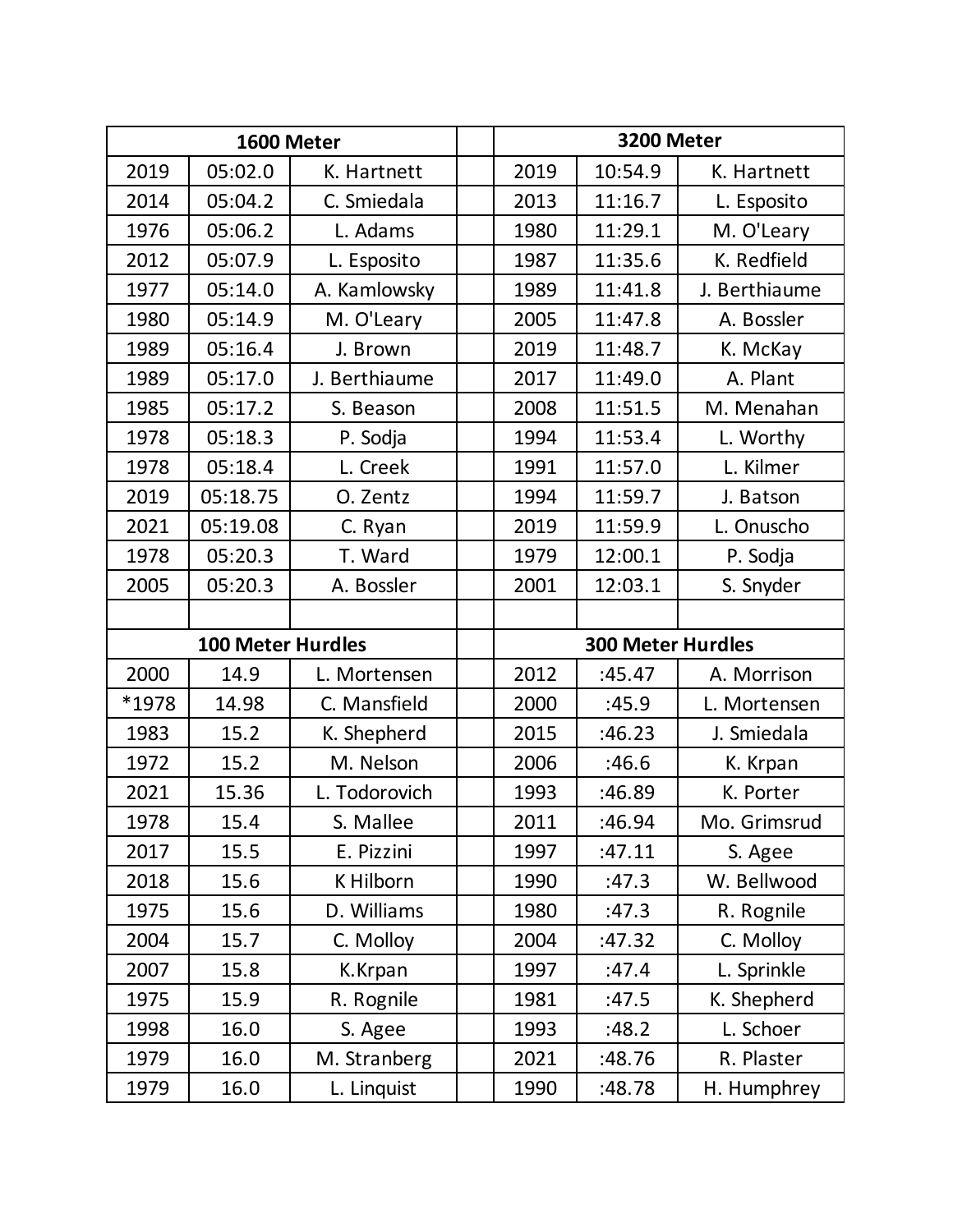| 1600 Meter |                          |               | 3200 Meter               |         |               |  |
|------------|--------------------------|---------------|--------------------------|---------|---------------|--|
| 2019       | 05:02.0                  | K. Hartnett   | 2019                     | 10:54.9 | K. Hartnett   |  |
| 2014       | 05:04.2                  | C. Smiedala   | 2013                     | 11:16.7 | L. Esposito   |  |
| 1976       | 05:06.2                  | L. Adams      | 1980                     | 11:29.1 | M. O'Leary    |  |
| 2012       | 05:07.9                  | L. Esposito   | 1987                     | 11:35.6 | K. Redfield   |  |
| 1977       | 05:14.0                  | A. Kamlowsky  | 1989                     | 11:41.8 | J. Berthiaume |  |
| 1980       | 05:14.9                  | M. O'Leary    | 2005                     | 11:47.8 | A. Bossler    |  |
| 1989       | 05:16.4                  | J. Brown      | 2019                     | 11:48.7 | K. McKay      |  |
| 1989       | 05:17.0                  | J. Berthiaume | 2017                     | 11:49.0 | A. Plant      |  |
| 1985       | 05:17.2                  | S. Beason     | 2008                     | 11:51.5 | M. Menahan    |  |
| 1978       | 05:18.3                  | P. Sodja      | 1994                     | 11:53.4 | L. Worthy     |  |
| 1978       | 05:18.4                  | L. Creek      | 1991                     | 11:57.0 | L. Kilmer     |  |
| 2019       | 05:18.75                 | O. Zentz      | 1994                     | 11:59.7 | J. Batson     |  |
| 2021       | 05:19.08                 | C. Ryan       | 2019                     | 11:59.9 | L. Onuscho    |  |
| 1978       | 05:20.3                  | T. Ward       | 1979                     | 12:00.1 | P. Sodja      |  |
| 2005       | 05:20.3                  | A. Bossler    | 2001                     | 12:03.1 | S. Snyder     |  |
|            |                          |               |                          |         |               |  |
|            | <b>100 Meter Hurdles</b> |               | <b>300 Meter Hurdles</b> |         |               |  |
| 2000       | 14.9                     | L. Mortensen  | 2012                     | :45.47  | A. Morrison   |  |
| *1978      | 14.98                    | C. Mansfield  | 2000                     | :45.9   | L. Mortensen  |  |
| 1983       | 15.2                     | K. Shepherd   | 2015                     | :46.23  | J. Smiedala   |  |
| 1972       | 15.2                     | M. Nelson     | 2006                     | :46.6   | K. Krpan      |  |
| 2021       | 15.36                    | L. Todorovich | 1993                     | :46.89  | K. Porter     |  |
| 1978       | 15.4                     | S. Mallee     | 2011                     | :46.94  | Mo. Grimsrud  |  |
| 2017       | 15.5                     | E. Pizzini    | 1997                     | :47.11  | S. Agee       |  |
| 2018       | 15.6                     | K Hilborn     | 1990                     | :47.3   | W. Bellwood   |  |
| 1975       | 15.6                     | D. Williams   | 1980                     | :47.3   | R. Rognile    |  |
| 2004       | 15.7                     | C. Molloy     | 2004                     | :47.32  | C. Molloy     |  |
| 2007       | 15.8                     | K.Krpan       | 1997                     | :47.4   | L. Sprinkle   |  |
| 1975       | 15.9                     | R. Rognile    | 1981                     | :47.5   | K. Shepherd   |  |
| 1998       | 16.0                     | S. Agee       | 1993                     | :48.2   | L. Schoer     |  |
| 1979       | 16.0                     | M. Stranberg  | 2021                     | :48.76  | R. Plaster    |  |
| 1979       | 16.0                     | L. Linquist   | 1990                     | :48.78  | H. Humphrey   |  |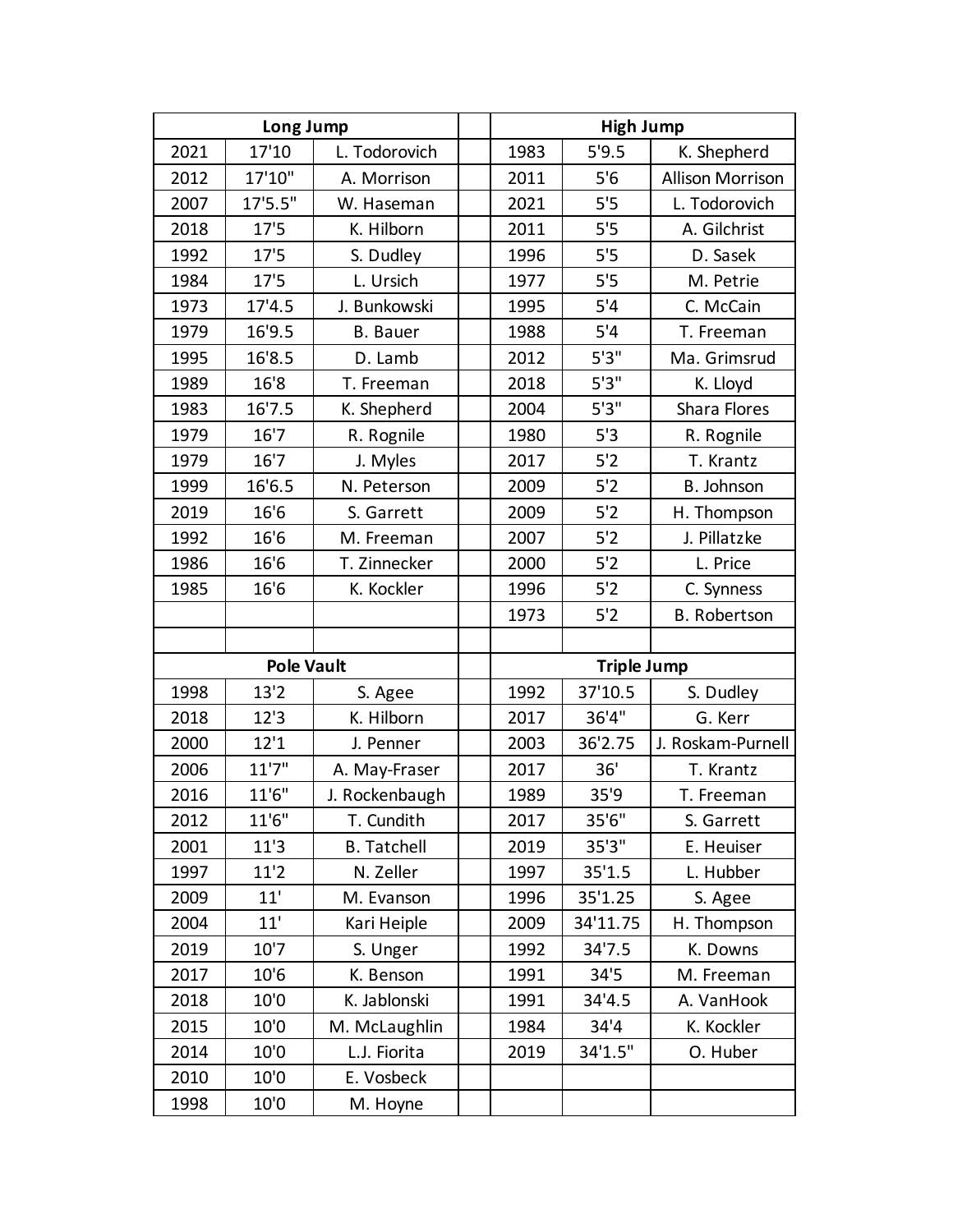| Long Jump |                   |                    | <b>High Jump</b>   |          |                         |  |
|-----------|-------------------|--------------------|--------------------|----------|-------------------------|--|
| 2021      | 17'10             | L. Todorovich      | 1983               | 5'9.5    | K. Shepherd             |  |
| 2012      | 17'10"            | A. Morrison        | 2011               | 5'6      | <b>Allison Morrison</b> |  |
| 2007      | 17'5.5"           | W. Haseman         | 2021               | 5'5      | L. Todorovich           |  |
| 2018      | 17'5              | K. Hilborn         | 2011               | 5'5      | A. Gilchrist            |  |
| 1992      | 17'5              | S. Dudley          | 1996               | 5'5      | D. Sasek                |  |
| 1984      | 17'5              | L. Ursich          | 1977               | 5'5      | M. Petrie               |  |
| 1973      | 17'4.5            | J. Bunkowski       | 1995               | 5'4      | C. McCain               |  |
| 1979      | 16'9.5            | <b>B.</b> Bauer    | 1988               | 5'4      | T. Freeman              |  |
| 1995      | 16'8.5            | D. Lamb            | 2012               | 5'3''    | Ma. Grimsrud            |  |
| 1989      | 16'8              | T. Freeman         | 2018               | 5'3''    | K. Lloyd                |  |
| 1983      | 16'7.5            | K. Shepherd        | 2004               | 5'3''    | Shara Flores            |  |
| 1979      | 16'7              | R. Rognile         | 1980               | 5'3      | R. Rognile              |  |
| 1979      | 16'7              | J. Myles           | 2017               | 5'2      | T. Krantz               |  |
| 1999      | 16'6.5            | N. Peterson        | 2009               | 5'2      | B. Johnson              |  |
| 2019      | 16'6              | S. Garrett         | 2009               | 5'2      | H. Thompson             |  |
| 1992      | 16'6              | M. Freeman         | 2007               | 5'2      | J. Pillatzke            |  |
| 1986      | 16'6              | T. Zinnecker       | 2000               | 5'2      | L. Price                |  |
| 1985      | 16'6              | K. Kockler         | 1996               | 5'2      | C. Synness              |  |
|           |                   |                    | 1973               | 5'2      | <b>B.</b> Robertson     |  |
|           |                   |                    |                    |          |                         |  |
|           | <b>Pole Vault</b> |                    | <b>Triple Jump</b> |          |                         |  |
| 1998      | 13'2              | S. Agee            | 1992               | 37'10.5  | S. Dudley               |  |
| 2018      | 12'3              | K. Hilborn         | 2017               | 36'4"    | G. Kerr                 |  |
| 2000      | 12'1              | J. Penner          | 2003               | 36'2.75  | J. Roskam-Purnell       |  |
| 2006      | 11'7"             | A. May-Fraser      | 2017               | 36'      | T. Krantz               |  |
| 2016      | 11'6"             | J. Rockenbaugh     | 1989               | 35'9     | T. Freeman              |  |
| 2012      | 11'6"             | T. Cundith         | 2017               | 35'6"    | S. Garrett              |  |
| 2001      | 11'3              | <b>B.</b> Tatchell | 2019               | 35'3''   | E. Heuiser              |  |
| 1997      | 11'2              | N. Zeller          | 1997               | 35'1.5   | L. Hubber               |  |
| 2009      | 11'               | M. Evanson         | 1996               | 35'1.25  | S. Agee                 |  |
| 2004      | 11'               | Kari Heiple        | 2009               | 34'11.75 | H. Thompson             |  |
| 2019      | 10'7              | S. Unger           | 1992               | 34'7.5   | K. Downs                |  |
| 2017      | 10'6              | K. Benson          | 1991               | 34'5     | M. Freeman              |  |
| 2018      | 10'0              | K. Jablonski       | 1991               | 34'4.5   | A. VanHook              |  |
| 2015      | 10'0              | M. McLaughlin      | 1984               | 34'4     | K. Kockler              |  |
| 2014      | 10'0              | L.J. Fiorita       | 2019               | 34'1.5"  | O. Huber                |  |
| 2010      | 10'0              | E. Vosbeck         |                    |          |                         |  |
| 1998      | 10'0              | M. Hoyne           |                    |          |                         |  |